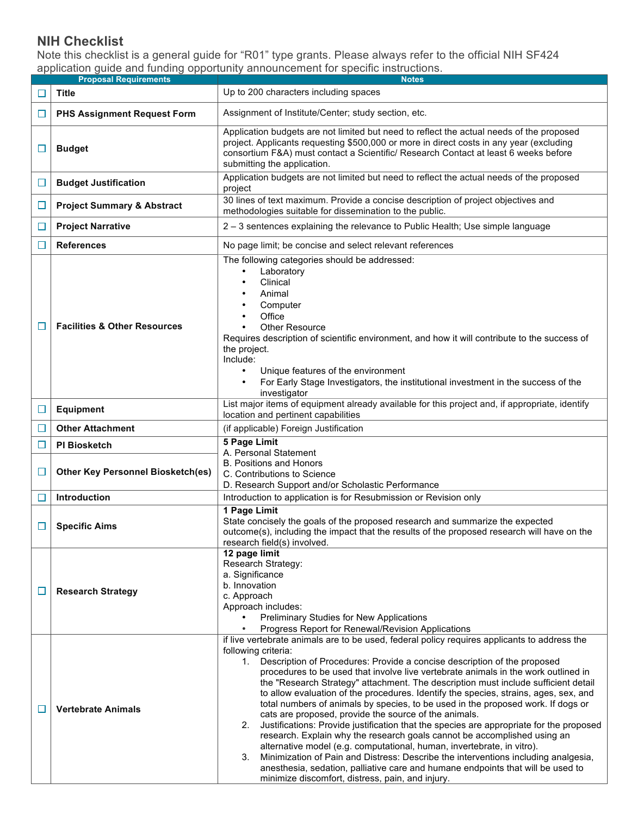## **NIH Checklist**

Note this checklist is a general guide for "R01" type grants. Please always refer to the official NIH SF424 application guide and funding opportunity announcement for specific instructions.

|        | <b>Proposal Requirements</b>             | <b>Notes</b>                                                                                                                                                                                                                                                                                                                                                                                                                                                                                                                                                                                                                                                                                                                                                                                                                                                                                                                                                                                                                                                                                                  |
|--------|------------------------------------------|---------------------------------------------------------------------------------------------------------------------------------------------------------------------------------------------------------------------------------------------------------------------------------------------------------------------------------------------------------------------------------------------------------------------------------------------------------------------------------------------------------------------------------------------------------------------------------------------------------------------------------------------------------------------------------------------------------------------------------------------------------------------------------------------------------------------------------------------------------------------------------------------------------------------------------------------------------------------------------------------------------------------------------------------------------------------------------------------------------------|
|        | Title                                    | Up to 200 characters including spaces                                                                                                                                                                                                                                                                                                                                                                                                                                                                                                                                                                                                                                                                                                                                                                                                                                                                                                                                                                                                                                                                         |
| ⊔      | <b>PHS Assignment Request Form</b>       | Assignment of Institute/Center; study section, etc.                                                                                                                                                                                                                                                                                                                                                                                                                                                                                                                                                                                                                                                                                                                                                                                                                                                                                                                                                                                                                                                           |
| ⊔      | <b>Budget</b>                            | Application budgets are not limited but need to reflect the actual needs of the proposed<br>project. Applicants requesting \$500,000 or more in direct costs in any year (excluding<br>consortium F&A) must contact a Scientific/ Research Contact at least 6 weeks before<br>submitting the application.                                                                                                                                                                                                                                                                                                                                                                                                                                                                                                                                                                                                                                                                                                                                                                                                     |
| ⊔      | <b>Budget Justification</b>              | Application budgets are not limited but need to reflect the actual needs of the proposed<br>project                                                                                                                                                                                                                                                                                                                                                                                                                                                                                                                                                                                                                                                                                                                                                                                                                                                                                                                                                                                                           |
| □      | <b>Project Summary &amp; Abstract</b>    | 30 lines of text maximum. Provide a concise description of project objectives and<br>methodologies suitable for dissemination to the public.                                                                                                                                                                                                                                                                                                                                                                                                                                                                                                                                                                                                                                                                                                                                                                                                                                                                                                                                                                  |
| □      | <b>Project Narrative</b>                 | 2 – 3 sentences explaining the relevance to Public Health; Use simple language                                                                                                                                                                                                                                                                                                                                                                                                                                                                                                                                                                                                                                                                                                                                                                                                                                                                                                                                                                                                                                |
|        | <b>References</b>                        | No page limit; be concise and select relevant references                                                                                                                                                                                                                                                                                                                                                                                                                                                                                                                                                                                                                                                                                                                                                                                                                                                                                                                                                                                                                                                      |
|        | <b>Facilities &amp; Other Resources</b>  | The following categories should be addressed:<br>Laboratory<br>$\bullet$<br>Clinical<br>$\bullet$<br>Animal<br>Computer<br>Office<br><b>Other Resource</b><br>Requires description of scientific environment, and how it will contribute to the success of<br>the project.<br>Include:<br>Unique features of the environment<br>$\bullet$<br>For Early Stage Investigators, the institutional investment in the success of the<br>$\bullet$<br>investigator                                                                                                                                                                                                                                                                                                                                                                                                                                                                                                                                                                                                                                                   |
| $\Box$ | <b>Equipment</b>                         | List major items of equipment already available for this project and, if appropriate, identify<br>location and pertinent capabilities                                                                                                                                                                                                                                                                                                                                                                                                                                                                                                                                                                                                                                                                                                                                                                                                                                                                                                                                                                         |
|        | <b>Other Attachment</b>                  | (if applicable) Foreign Justification                                                                                                                                                                                                                                                                                                                                                                                                                                                                                                                                                                                                                                                                                                                                                                                                                                                                                                                                                                                                                                                                         |
| $\Box$ | <b>PI Biosketch</b>                      | 5 Page Limit                                                                                                                                                                                                                                                                                                                                                                                                                                                                                                                                                                                                                                                                                                                                                                                                                                                                                                                                                                                                                                                                                                  |
| □      | <b>Other Key Personnel Biosketch(es)</b> | A. Personal Statement<br><b>B. Positions and Honors</b><br>C. Contributions to Science<br>D. Research Support and/or Scholastic Performance                                                                                                                                                                                                                                                                                                                                                                                                                                                                                                                                                                                                                                                                                                                                                                                                                                                                                                                                                                   |
|        | Introduction                             | Introduction to application is for Resubmission or Revision only                                                                                                                                                                                                                                                                                                                                                                                                                                                                                                                                                                                                                                                                                                                                                                                                                                                                                                                                                                                                                                              |
| □      | <b>Specific Aims</b>                     | 1 Page Limit<br>State concisely the goals of the proposed research and summarize the expected<br>outcome(s), including the impact that the results of the proposed research will have on the<br>research field(s) involved.                                                                                                                                                                                                                                                                                                                                                                                                                                                                                                                                                                                                                                                                                                                                                                                                                                                                                   |
| $\Box$ | <b>Research Strategy</b>                 | 12 page limit<br>Research Strategy:<br>a. Significance<br>b. Innovation<br>c. Approach<br>Approach includes:<br>Preliminary Studies for New Applications<br>Progress Report for Renewal/Revision Applications<br>$\bullet$                                                                                                                                                                                                                                                                                                                                                                                                                                                                                                                                                                                                                                                                                                                                                                                                                                                                                    |
|        | <b>Vertebrate Animals</b>                | if live vertebrate animals are to be used, federal policy requires applicants to address the<br>following criteria:<br>1. Description of Procedures: Provide a concise description of the proposed<br>procedures to be used that involve live vertebrate animals in the work outlined in<br>the "Research Strategy" attachment. The description must include sufficient detail<br>to allow evaluation of the procedures. Identify the species, strains, ages, sex, and<br>total numbers of animals by species, to be used in the proposed work. If dogs or<br>cats are proposed, provide the source of the animals.<br>2.<br>Justifications: Provide justification that the species are appropriate for the proposed<br>research. Explain why the research goals cannot be accomplished using an<br>alternative model (e.g. computational, human, invertebrate, in vitro).<br>Minimization of Pain and Distress: Describe the interventions including analgesia,<br>3.<br>anesthesia, sedation, palliative care and humane endpoints that will be used to<br>minimize discomfort, distress, pain, and injury. |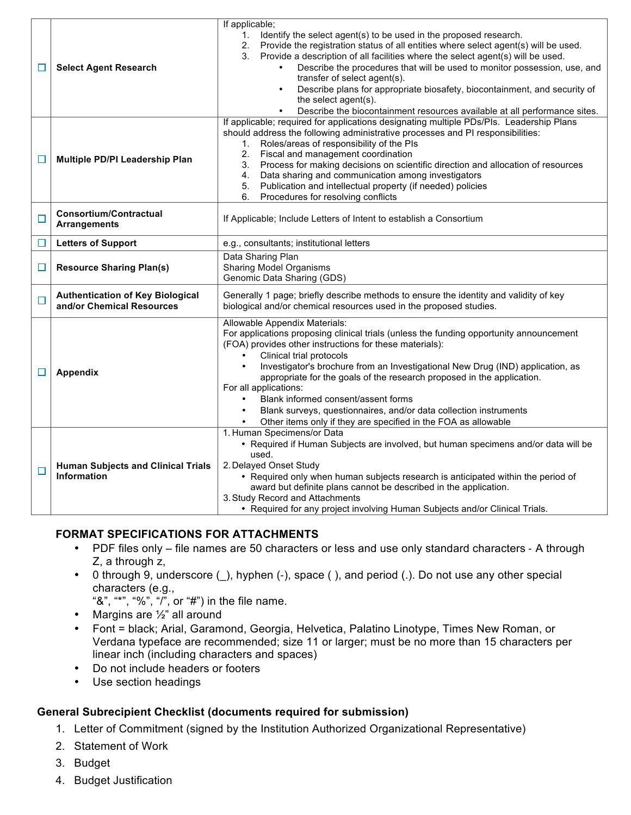|        |                                                                      | If applicable;                                                                                                                                                                                                                                                                                                                                                                                                                                                                                                                                                                                               |
|--------|----------------------------------------------------------------------|--------------------------------------------------------------------------------------------------------------------------------------------------------------------------------------------------------------------------------------------------------------------------------------------------------------------------------------------------------------------------------------------------------------------------------------------------------------------------------------------------------------------------------------------------------------------------------------------------------------|
| ப      | <b>Select Agent Research</b>                                         | 1. Identify the select agent(s) to be used in the proposed research.<br>2. Provide the registration status of all entities where select agent(s) will be used.<br>Provide a description of all facilities where the select agent(s) will be used.<br>3.<br>Describe the procedures that will be used to monitor possession, use, and<br>transfer of select agent(s).<br>Describe plans for appropriate biosafety, biocontainment, and security of<br>the select agent(s).<br>Describe the biocontainment resources available at all performance sites.                                                       |
| $\Box$ | Multiple PD/PI Leadership Plan                                       | If applicable; required for applications designating multiple PDs/PIs. Leadership Plans<br>should address the following administrative processes and PI responsibilities:<br>Roles/areas of responsibility of the PIs<br>1.<br>Fiscal and management coordination<br>2.<br>Process for making decisions on scientific direction and allocation of resources<br>3.<br>Data sharing and communication among investigators<br>4.<br>Publication and intellectual property (if needed) policies<br>5.<br>Procedures for resolving conflicts<br>6.                                                                |
| $\Box$ | <b>Consortium/Contractual</b><br><b>Arrangements</b>                 | If Applicable; Include Letters of Intent to establish a Consortium                                                                                                                                                                                                                                                                                                                                                                                                                                                                                                                                           |
| $\Box$ | <b>Letters of Support</b>                                            | e.g., consultants; institutional letters                                                                                                                                                                                                                                                                                                                                                                                                                                                                                                                                                                     |
| □      | <b>Resource Sharing Plan(s)</b>                                      | Data Sharing Plan<br><b>Sharing Model Organisms</b><br>Genomic Data Sharing (GDS)                                                                                                                                                                                                                                                                                                                                                                                                                                                                                                                            |
| $\Box$ | <b>Authentication of Key Biological</b><br>and/or Chemical Resources | Generally 1 page; briefly describe methods to ensure the identity and validity of key<br>biological and/or chemical resources used in the proposed studies.                                                                                                                                                                                                                                                                                                                                                                                                                                                  |
| □      | <b>Appendix</b>                                                      | Allowable Appendix Materials:<br>For applications proposing clinical trials (unless the funding opportunity announcement<br>(FOA) provides other instructions for these materials):<br>Clinical trial protocols<br>Investigator's brochure from an Investigational New Drug (IND) application, as<br>$\bullet$<br>appropriate for the goals of the research proposed in the application.<br>For all applications:<br>Blank informed consent/assent forms<br>$\bullet$<br>Blank surveys, questionnaires, and/or data collection instruments<br>Other items only if they are specified in the FOA as allowable |
| $\Box$ | <b>Human Subjects and Clinical Trials</b><br><b>Information</b>      | 1. Human Specimens/or Data<br>• Required if Human Subjects are involved, but human specimens and/or data will be<br>used.<br>2. Delayed Onset Study<br>• Required only when human subjects research is anticipated within the period of<br>award but definite plans cannot be described in the application.<br>3. Study Record and Attachments<br>• Required for any project involving Human Subjects and/or Clinical Trials.                                                                                                                                                                                |

## **FORMAT SPECIFICATIONS FOR ATTACHMENTS**

- PDF files only file names are 50 characters or less and use only standard characters A through Z, a through z,
- 0 through 9, underscore (), hyphen (-), space (), and period (.). Do not use any other special characters (e.g.,

"&", "\*", "%", "/", or "#") in the file name.

- Margins are 1/2" all around
- Font = black; Arial, Garamond, Georgia, Helvetica, Palatino Linotype, Times New Roman, or Verdana typeface are recommended; size 11 or larger; must be no more than 15 characters per linear inch (including characters and spaces)
- Do not include headers or footers
- Use section headings

## **General Subrecipient Checklist (documents required for submission)**

- 1. Letter of Commitment (signed by the Institution Authorized Organizational Representative)
- 2. Statement of Work
- 3. Budget
- 4. Budget Justification